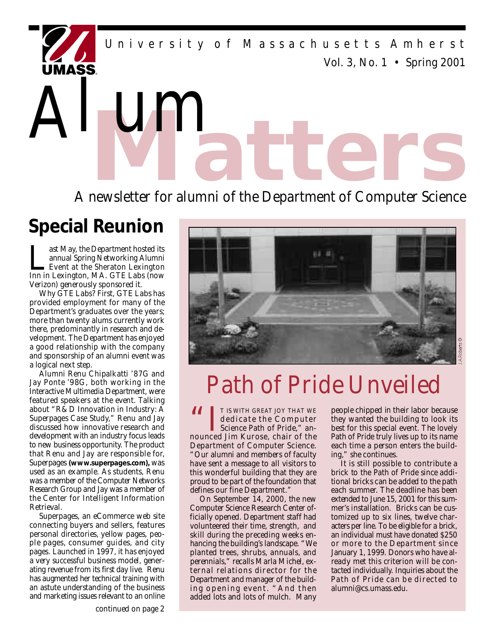*Vol. 3, No. 1 • Spring 2001* University of Massachusetts Amherst

**Matter of alumni of the Department of Computer Science** 

# **Special Reunion**

Alum

**Last May, the Department hosted its annual Spring Networking Alumni**<br>Event at the Sheraton Lexington Inn in Lexington, MA. GTE Labs (now ast May, the Department hosted its annual Spring Networking Alumni Event at the Sheraton Lexington Verizon) generously sponsored it.

Why GTE Labs? First, GTE Labs has p rovided employment for many of the Department's graduates over the years; more than twenty alums currently work there, predominantly in research and development. The Department has enjoyed a good relationship with the company and sponsorship of an alumni event was a logical next step.

Alumni Renu Chipalkatti '87G and Jay Ponte '98G, both working in the Interactive Multimedia Department, were featured speakers at the event. Talking about "R&D Innovation in Industry: A Superpages Case Study," Renu and Jay discussed how innovative research and development with an industry focus leads to new business opportunity. The product that Renu and Jay are responsible for, Superpages (www.superpages.com), was used as an example. As students, Renu was a member of the Computer Networks Research Group and Jay was a member of the Center for Intelligent Information Retrieval.

Superpages, an eCommerce web site connecting buyers and sellers, features personal directories, yellow pages, people pages, consumer guides, and city pages. Launched in 1997, it has enjoyed a very successful business model, generating revenue from its first day live. Renu has augmented her technical training with an astute understanding of the business and marketing issues relevant to an online



# *Path of Pride Unveiled*

**66 IT IS WITH GREAT JOY THAT WE dedicate the Computer Science Path of Pride," an-**<br> **Science Path of Pride," an**dedicate the Computer nounced Jim Kurose, chair of the Department of Computer Science. "Our alumni and members of faculty have sent a message to all visitors to this wonderful building that they are proud to be part of the foundation that defines our fine Department."

On September 14, 2000, the new Computer Science Research Center officially opened. Department staff had volunteered their time, strength, and skill during the preceding weeks enhancing the building's landscape. "We planted trees, shrubs, annuals, and perennials," recalls Marla Michel, external relations director for the Department and manager of the building opening event. "And then added lots and lots of mulch. Many

people chipped in their labor because they wanted the building to look its best for this special event. The lovely Path of Pride truly lives up to its name each time a person enters the building," she continues.

It is still possible to contribute a brick to the Path of Pride since additional bricks can be added to the path each summer. The deadline has been extended to June 15, 2001 for this summer's installation. Bricks can be customized up to six lines, twelve characters per line. To be eligible for a brick, an individual must have donated \$250 or more to the Department since January 1, 1999. Donors who have already met this criterion will be contacted individually. Inquiries about the Path of Pride can be directed to alumni@cs.umass.edu.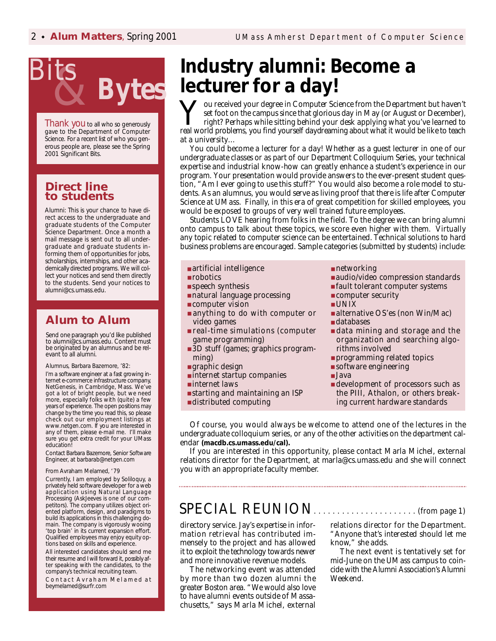

Thank you to all who so generously gave to the Department of Computer Science. For a recent list of who you generous people are, please see the Spring 2001 *Significant Bits.*

### **Direct line to students**

Alumni: This is your chance to have direct access to the undergraduate and graduate students of the Computer Science Department. Once a month a mail message is sent out to all undergraduate and graduate students informing them of opportunities for jobs, scholarships, internships, and other academically directed programs. We will collect your notices and send them directly to the students. Send your notices to alumni@cs.umass.edu.

## **Alum to Alum**

Send one paragraph you'd like published to alumni@cs.umass.edu. Content must be originated by an alumnus and be relevant to all alumni.

#### Alumnus, Barbara Bazemore, '82:

I'm a software engineer at a fast growing internet e-commerce infrastructure company, NetGenesis, in Cambridge, Mass. We've got a lot of bright people, but we need more, especially folks with (quite) a few years of experience. The open positions may change by the time you read this, so please check out our employment listings at www.netgen.com. If you are interested in any of them, please e-mail me. I'll make sure you get extra credit for your UMass education!

Contact Barbara Bazemore, Senior Software Engineer, at barbarab@netgen.com

#### From Avraham Melamed, '79

Currently, I am employed by Soliloquy, a privately held software developer for a web application using Natural Language Processing (AskJeeves is one of our competitors). The company utilizes object oriented platform, design, and paradigms to build its applications in this challenging domain. The company is vigorously wooing 'top brain' in its current expansion effort. Qualified employees may enjoy equity options based on skills and experience.

All interested candidates should send me their resume and I will forward it, possibly after speaking with the candidates, to the company's technical recruiting team.

Contact Avraham Melamed at bey mela med@surfr.com

# **Industry alumni: Become a** lecturer for a day!

You received your degree in Computer Science from the Department but haven't set foot on the campus since that glorious day in May (or August or December), right? Perhaps while sitting behind your desk applying what you've  $\overline{J}$  ou received your degree in Computer Science from the Department but haven't set foot on the campus since that glorious day in May (or August or December), right? Perhaps while sitting behind your desk applying what you've learned to at a university…

You could become a lecturer for a day! Whether as a guest lecturer in one of our undergraduate classes or as part of our Department Colloquium Series, your technical expertise and industrial know-how can greatly enhance a student's experience in our program. Your presentation would provide answers to the ever-present student question, "Am I ever going to use this stuff?" You would also become a role model to students. As an alumnus, you would serve as living proof that there is life after Computer Science at UMass. Finally, in this era of great competition for skilled employees, you would be exposed to groups of very well trained future employees.

Students LOVE hearing from folks in the field. To the degree we can bring alumni onto campus to talk about these topics, we score even higher with them. Virtually any topic related to computer science can be entertained. Technical solutions to hard business problems are encouraged. Sample categories (submitted by students) include:

- artificial intelligence
- $\blacksquare$  robotics
- speech synthesis
- $\blacksquare$  natural language processing
- computer vision
- anything to do with computer or video games
- real-time simulations (computer game programming)
- 3D stuff (games; graphics programming)
- graphic design
- $\blacksquare$  internet startup companies
- $\blacksquare$  internet laws
- starting and maintaining an ISP
- distributed computing

 $\blacksquare$  networking

- audio/video compression standards
- fault tolerant computer systems
- computer security
- $\blacksquare$  UNIX
- $\blacksquare$  alternative OS'es (non Win/Mac)
- databases
- data mining and storage and the organization and searching algorithms involved
- programming related topics
- $\blacksquare$  software engineering
- Java
- development of processors such as the PIII, Athalon, or others breaking current hardware standards

Of course, you would always be welcome to attend one of the lectures in the undergraduate colloquium series, or any of the other activities on the department calendar (macdb.cs.umass.edu/cal).

If you are interested in this opportunity, please contact Marla Michel, external relations director for the Department, at marla@cs.umass.edu and she will connect you with an appropriate faculty member.

## SPECIAL REUNION. . . . . . . . . . . . . . . . . . . . . . *(from page 1)*

directory service. Jay's expertise in information retrieval has contributed immensely to the project and has allowed it to exploit the technology towards newer and more innovative revenue models.

The networking event was attended by more than two dozen alumni the greater Boston area. "We would also love to have alumni events outside of Massachusetts," says Marla Michel, external relations director for the Department. "Anyone that's interested should let me know," she adds.

The next event is tentatively set for mid-June on the UMass campus to coincide with the Alumni Association's Alumni Weekend.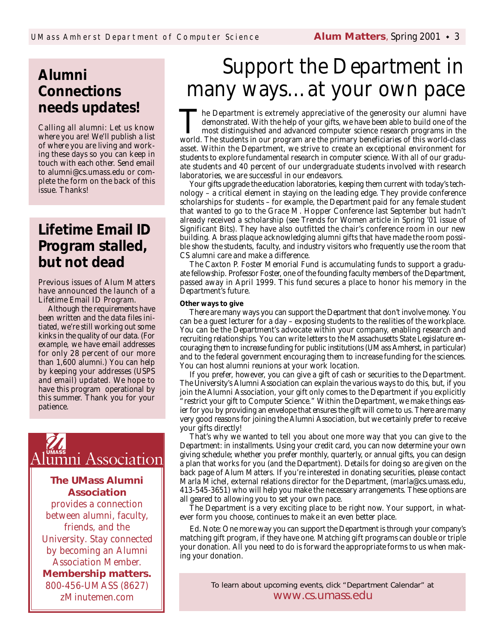# **A l u m n i Connections needs updates!**

Calling all alumni: Let us know where you are! We'll publish a list of where you are living and working these days so you can keep in touch with each other. Send email to alumni@cs.umass.edu or complete the form on the back of this issue. Thanks!

# **Lifetime Email ID** Program stalled, **but not dead**

Previous issues of Alum Matters have announced the launch of a Lifetime Email ID Program.

Although the requirements have been written and the data files initiated, we're still working out some kinks in the quality of our data. (For example, we have email addresses for only 28 percent of our more than 1,600 alumni.) You can help by keeping your addresses (USPS and email) updated. We hope to have this program operational by this summer. Thank you for your patience.



## **The UMass Alumni Association**

provides a connection between alumni, faculty, friends, and the University. Stay connected by becoming an Alumni Association Member. **Membership matters.** 800-456-UMASS (8627) zMinutemen.com

# **Support the Department in** *many ways…at your own pace*

The Department is extremely appreciative of the generosity our alumni have demonstrated. With the help of your gifts, we have been able to build one of the most distinguished and advanced computer science research programs **The Department is extremely appreciative of the generosity our alumni have** demonstrated. With the help of your gifts, we have been able to build one of the most distinguished and advanced computer science research programs in the asset. Within the Department, we strive to create an exceptional environment for students to explore fundamental research in computer science. With all of our graduate students and 40 percent of our undergraduate students involved with research laboratories, we are successful in our endeavors.

Your gifts upgrade the education laboratories, keeping them current with today's tech $n_{\text{m}}$  – a critical element in staying on the leading edge. They provide conference scholarships for students – for example, the Department paid for any female student that wanted to go to the Grace M. Hopper Conference last September but hadn't already received a scholarship (see *Trends for Women* article in Spring '01 issue of Significant Bits). They have also outfitted the chair's conference room in our new building. A brass plaque acknowledging alumni gifts that have made the room possible show the students, faculty, and industry visitors who frequently use the room that CS alumni care and make a difference.

The Caxton P. Foster Memorial Fund is accumulating funds to support a graduate fellowship. Professor Foster, one of the founding faculty members of the Department, passed away in April 1999. This fund secures a place to honor his memory in the Department's future.

#### **Other ways to give**

There are many ways you can support the Department that don't involve money. You can be a guest lecturer for a day – exposing students to the realities of the workplace. You can be the Department's advocate within your company, enabling research and recruiting relationships. You can write letters to the Massachusetts State Legislature encouraging them to increase funding for public institutions (UMass Amherst, in particular) and to the federal government encouraging them to increase funding for the sciences. You can host alumni reunions at your work location.

If you prefer, however, you can give a gift of cash or securities to the Department. The University's Alumni Association can explain the various ways to do this, but, if you join the Alumni Association, your gift only comes to the Department if you explicitly restrict your gift to Computer Science." Within the Department, we make things easier for you by providing an envelope that ensures the gift will come to us. There are many very good reasons for joining the Alumni Association, but we certainly prefer to receive your gifts directly!

That's why we wanted to tell you about one more way that you can give to the Department: in installments. Using your credit card, you can now determine your own giving schedule; whether you prefer monthly, quarterly, or annual gifts, you can design a plan that works for you (and the Department). Details for doing so are given on the back page of Alum Matters. If you're interested in donating securities, please contact Marla Michel, external relations director for the Department, (marla@cs.umass.edu, 413-545-3651) who will help you make the necessary arrangements. These options are all geared to allowing you to set your own pace.

The Department is a very exciting place to be right now. Your support, in whatever form you choose, continues to make it an even better place.

*Ed. Note: One more way you can support the Department is through your company's matching gift program, if they have one. Matching gift programs can double or triple* your donation. All you need to do is forward the appropriate forms to us when mak*ing your donation.*

> To learn about upcoming events, click "Department Calendar" at www.cs.umass.edu